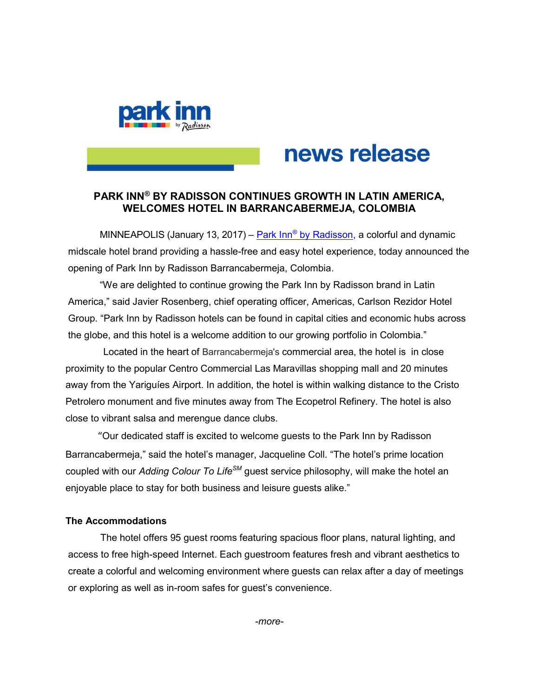

# news release

# PARK INN® BY RADISSON CONTINUES GROWTH IN LATIN AMERICA, WELCOMES HOTEL IN BARRANCABERMEJA, COLOMBIA

MINNEAPOLIS (January 13, 2017) – <u>Park Inn® by Radisson</u>, a colorful and dynamic midscale hotel brand providing a hassle-free and easy hotel experience, today announced the opening of Park Inn by Radisson Barrancabermeja, Colombia.

"We are delighted to continue growing the Park Inn by Radisson brand in Latin America," said Javier Rosenberg, chief operating officer, Americas, Carlson Rezidor Hotel Group. "Park Inn by Radisson hotels can be found in capital cities and economic hubs across the globe, and this hotel is a welcome addition to our growing portfolio in Colombia."

 Located in the heart of Barrancabermeja's commercial area, the hotel is in close proximity to the popular Centro Commercial Las Maravillas shopping mall and 20 minutes away from the Yariguíes Airport. In addition, the hotel is within walking distance to the Cristo Petrolero monument and five minutes away from The Ecopetrol Refinery. The hotel is also close to vibrant salsa and merengue dance clubs.

 "Our dedicated staff is excited to welcome guests to the Park Inn by Radisson Barrancabermeja," said the hotel's manager, Jacqueline Coll. "The hotel's prime location coupled with our Adding Colour To Life<sup>SM</sup> guest service philosophy, will make the hotel an enjoyable place to stay for both business and leisure guests alike."

## The Accommodations

 The hotel offers 95 guest rooms featuring spacious floor plans, natural lighting, and access to free high-speed Internet. Each guestroom features fresh and vibrant aesthetics to create a colorful and welcoming environment where guests can relax after a day of meetings or exploring as well as in-room safes for guest's convenience.